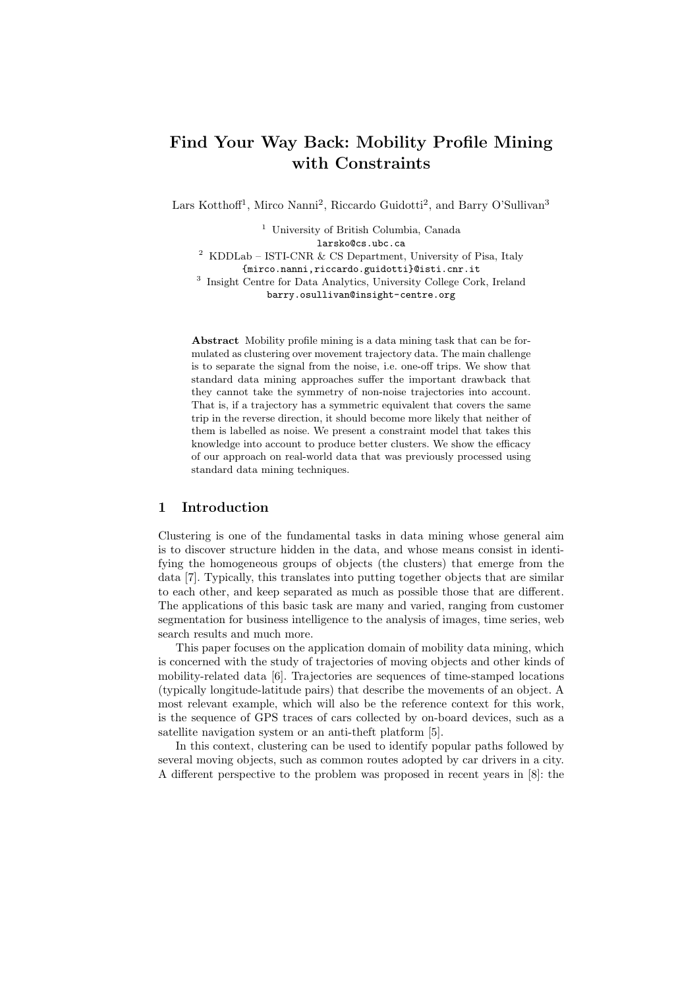# **Find Your Way Back: Mobility Profile Mining with Constraints**

Lars Kotthoff<sup>1</sup>, Mirco Nanni<sup>2</sup>, Riccardo Guidotti<sup>2</sup>, and Barry O'Sullivan<sup>3</sup>

<sup>1</sup> University of British Columbia, Canada larsko@cs.ubc.ca  $2$  KDDLab – ISTI-CNR & CS Department, University of Pisa, Italy {mirco.nanni,riccardo.guidotti}@isti.cnr.it <sup>3</sup> Insight Centre for Data Analytics, University College Cork, Ireland barry.osullivan@insight-centre.org

**Abstract** Mobility profile mining is a data mining task that can be formulated as clustering over movement trajectory data. The main challenge is to separate the signal from the noise, i.e. one-off trips. We show that standard data mining approaches suffer the important drawback that they cannot take the symmetry of non-noise trajectories into account. That is, if a trajectory has a symmetric equivalent that covers the same trip in the reverse direction, it should become more likely that neither of them is labelled as noise. We present a constraint model that takes this knowledge into account to produce better clusters. We show the efficacy of our approach on real-world data that was previously processed using standard data mining techniques.

# **1 Introduction**

Clustering is one of the fundamental tasks in data mining whose general aim is to discover structure hidden in the data, and whose means consist in identifying the homogeneous groups of objects (the clusters) that emerge from the data [7]. Typically, this translates into putting together objects that are similar to each other, and keep separated as much as possible those that are different. The applications of this basic task are many and varied, ranging from customer segmentation for business intelligence to the analysis of images, time series, web search results and much more.

This paper focuses on the application domain of mobility data mining, which is concerned with the study of trajectories of moving objects and other kinds of mobility-related data [6]. Trajectories are sequences of time-stamped locations (typically longitude-latitude pairs) that describe the movements of an object. A most relevant example, which will also be the reference context for this work, is the sequence of GPS traces of cars collected by on-board devices, such as a satellite navigation system or an anti-theft platform [5].

In this context, clustering can be used to identify popular paths followed by several moving objects, such as common routes adopted by car drivers in a city. A different perspective to the problem was proposed in recent years in [8]: the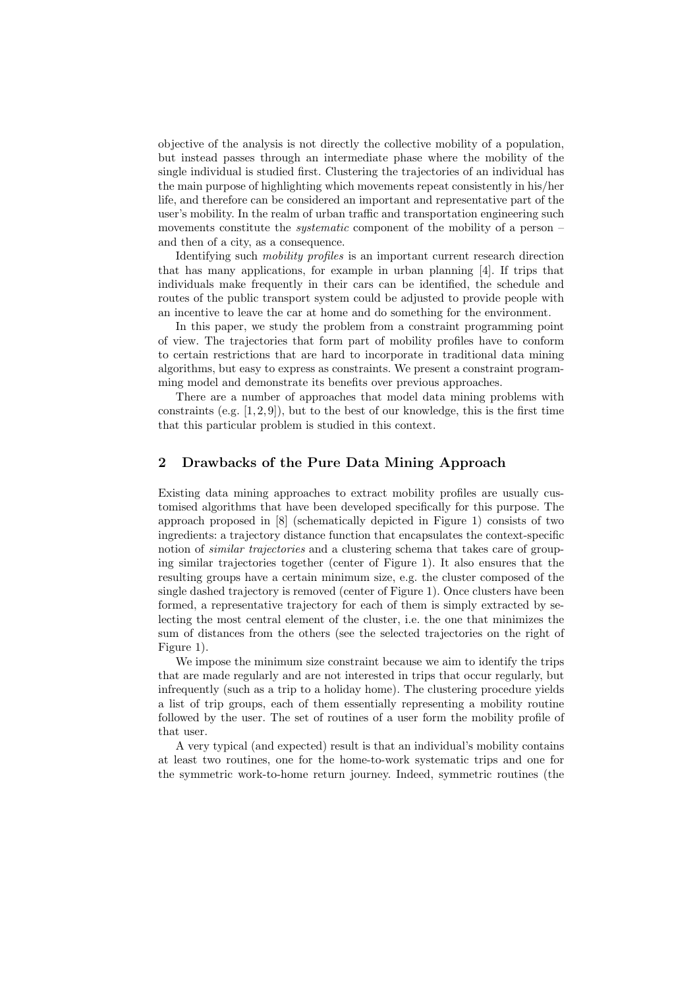objective of the analysis is not directly the collective mobility of a population, but instead passes through an intermediate phase where the mobility of the single individual is studied first. Clustering the trajectories of an individual has the main purpose of highlighting which movements repeat consistently in his/her life, and therefore can be considered an important and representative part of the user's mobility. In the realm of urban traffic and transportation engineering such movements constitute the *systematic* component of the mobility of a person – and then of a city, as a consequence.

Identifying such *mobility profiles* is an important current research direction that has many applications, for example in urban planning [4]. If trips that individuals make frequently in their cars can be identified, the schedule and routes of the public transport system could be adjusted to provide people with an incentive to leave the car at home and do something for the environment.

In this paper, we study the problem from a constraint programming point of view. The trajectories that form part of mobility profiles have to conform to certain restrictions that are hard to incorporate in traditional data mining algorithms, but easy to express as constraints. We present a constraint programming model and demonstrate its benefits over previous approaches.

There are a number of approaches that model data mining problems with constraints (e.g.  $[1, 2, 9]$ ), but to the best of our knowledge, this is the first time that this particular problem is studied in this context.

### **2 Drawbacks of the Pure Data Mining Approach**

Existing data mining approaches to extract mobility profiles are usually customised algorithms that have been developed specifically for this purpose. The approach proposed in [8] (schematically depicted in Figure 1) consists of two ingredients: a trajectory distance function that encapsulates the context-specific notion of *similar trajectories* and a clustering schema that takes care of grouping similar trajectories together (center of Figure 1). It also ensures that the resulting groups have a certain minimum size, e.g. the cluster composed of the single dashed trajectory is removed (center of Figure 1). Once clusters have been formed, a representative trajectory for each of them is simply extracted by selecting the most central element of the cluster, i.e. the one that minimizes the sum of distances from the others (see the selected trajectories on the right of Figure 1).

We impose the minimum size constraint because we aim to identify the trips that are made regularly and are not interested in trips that occur regularly, but infrequently (such as a trip to a holiday home). The clustering procedure yields a list of trip groups, each of them essentially representing a mobility routine followed by the user. The set of routines of a user form the mobility profile of that user.

A very typical (and expected) result is that an individual's mobility contains at least two routines, one for the home-to-work systematic trips and one for the symmetric work-to-home return journey. Indeed, symmetric routines (the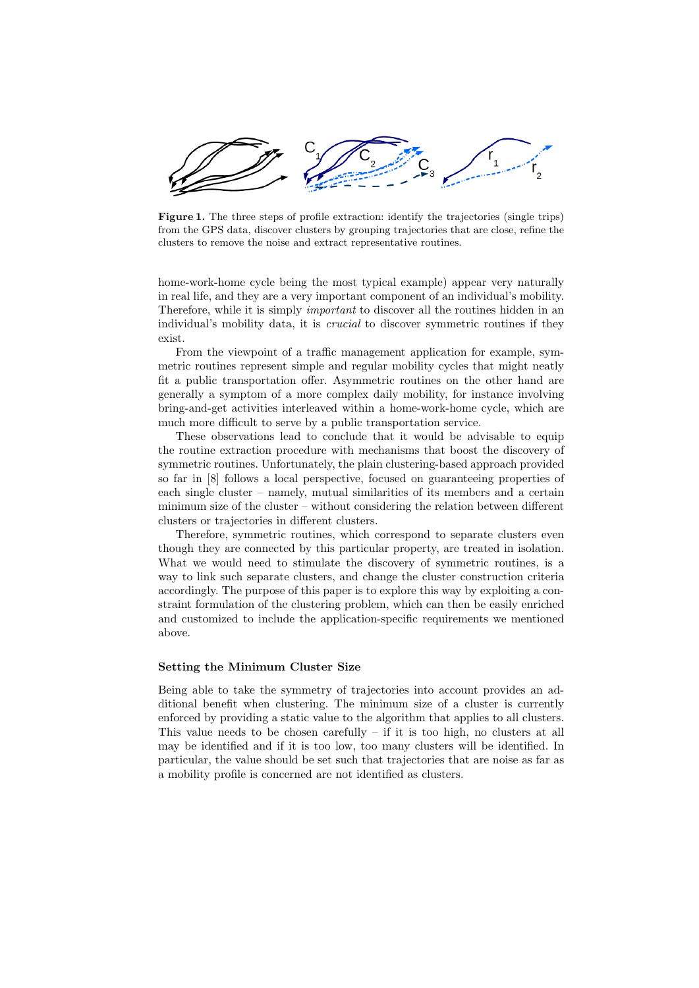**Figure 1.** The three steps of profile extraction: identify the trajectories (single trips) from the GPS data, discover clusters by grouping trajectories that are close, refine the clusters to remove the noise and extract representative routines.

home-work-home cycle being the most typical example) appear very naturally in real life, and they are a very important component of an individual's mobility. Therefore, while it is simply *important* to discover all the routines hidden in an individual's mobility data, it is *crucial* to discover symmetric routines if they exist.

From the viewpoint of a traffic management application for example, symmetric routines represent simple and regular mobility cycles that might neatly fit a public transportation offer. Asymmetric routines on the other hand are generally a symptom of a more complex daily mobility, for instance involving bring-and-get activities interleaved within a home-work-home cycle, which are much more difficult to serve by a public transportation service.

These observations lead to conclude that it would be advisable to equip the routine extraction procedure with mechanisms that boost the discovery of symmetric routines. Unfortunately, the plain clustering-based approach provided so far in [8] follows a local perspective, focused on guaranteeing properties of each single cluster – namely, mutual similarities of its members and a certain minimum size of the cluster – without considering the relation between different clusters or trajectories in different clusters.

Therefore, symmetric routines, which correspond to separate clusters even though they are connected by this particular property, are treated in isolation. What we would need to stimulate the discovery of symmetric routines, is a way to link such separate clusters, and change the cluster construction criteria accordingly. The purpose of this paper is to explore this way by exploiting a constraint formulation of the clustering problem, which can then be easily enriched and customized to include the application-specific requirements we mentioned above.

#### **Setting the Minimum Cluster Size**

Being able to take the symmetry of trajectories into account provides an additional benefit when clustering. The minimum size of a cluster is currently enforced by providing a static value to the algorithm that applies to all clusters. This value needs to be chosen carefully – if it is too high, no clusters at all may be identified and if it is too low, too many clusters will be identified. In particular, the value should be set such that trajectories that are noise as far as a mobility profile is concerned are not identified as clusters.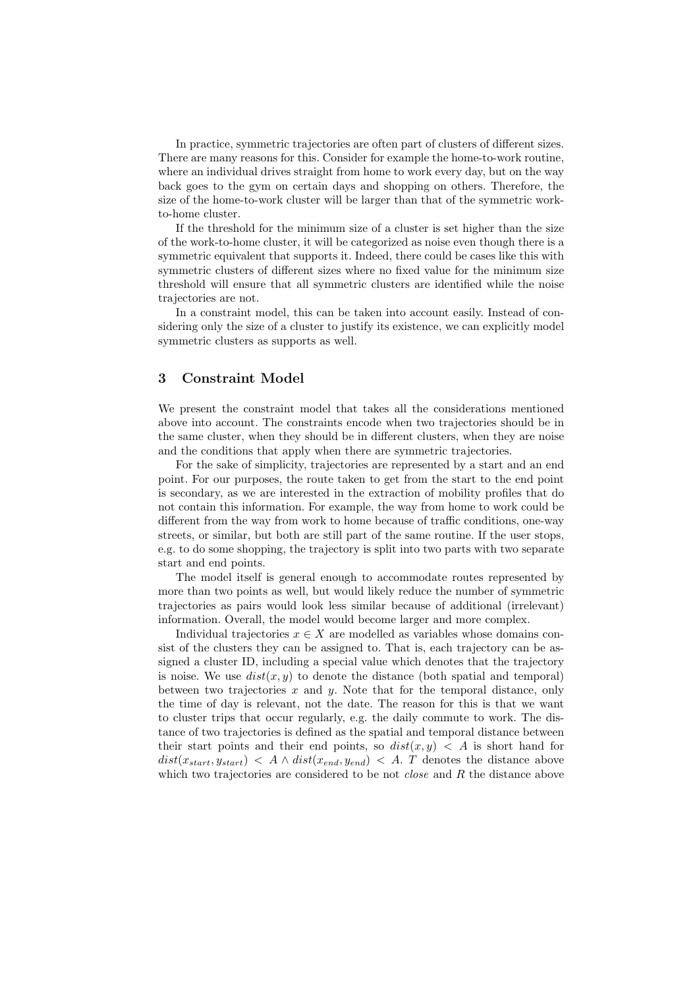In practice, symmetric trajectories are often part of clusters of different sizes. There are many reasons for this. Consider for example the home-to-work routine, where an individual drives straight from home to work every day, but on the way back goes to the gym on certain days and shopping on others. Therefore, the size of the home-to-work cluster will be larger than that of the symmetric workto-home cluster.

If the threshold for the minimum size of a cluster is set higher than the size of the work-to-home cluster, it will be categorized as noise even though there is a symmetric equivalent that supports it. Indeed, there could be cases like this with symmetric clusters of different sizes where no fixed value for the minimum size threshold will ensure that all symmetric clusters are identified while the noise trajectories are not.

In a constraint model, this can be taken into account easily. Instead of considering only the size of a cluster to justify its existence, we can explicitly model symmetric clusters as supports as well.

# **3 Constraint Model**

We present the constraint model that takes all the considerations mentioned above into account. The constraints encode when two trajectories should be in the same cluster, when they should be in different clusters, when they are noise and the conditions that apply when there are symmetric trajectories.

For the sake of simplicity, trajectories are represented by a start and an end point. For our purposes, the route taken to get from the start to the end point is secondary, as we are interested in the extraction of mobility profiles that do not contain this information. For example, the way from home to work could be different from the way from work to home because of traffic conditions, one-way streets, or similar, but both are still part of the same routine. If the user stops, e.g. to do some shopping, the trajectory is split into two parts with two separate start and end points.

The model itself is general enough to accommodate routes represented by more than two points as well, but would likely reduce the number of symmetric trajectories as pairs would look less similar because of additional (irrelevant) information. Overall, the model would become larger and more complex.

Individual trajectories  $x \in X$  are modelled as variables whose domains consist of the clusters they can be assigned to. That is, each trajectory can be assigned a cluster ID, including a special value which denotes that the trajectory is noise. We use  $dist(x, y)$  to denote the distance (both spatial and temporal) between two trajectories *x* and *y*. Note that for the temporal distance, only the time of day is relevant, not the date. The reason for this is that we want to cluster trips that occur regularly, e.g. the daily commute to work. The distance of two trajectories is defined as the spatial and temporal distance between their start points and their end points, so  $dist(x, y) < A$  is short hand for  $dist(x_{start}, y_{start})$  < A  $\land$   $dist(x_{end}, y_{end})$  < A. *T* denotes the distance above which two trajectories are considered to be not *close* and *R* the distance above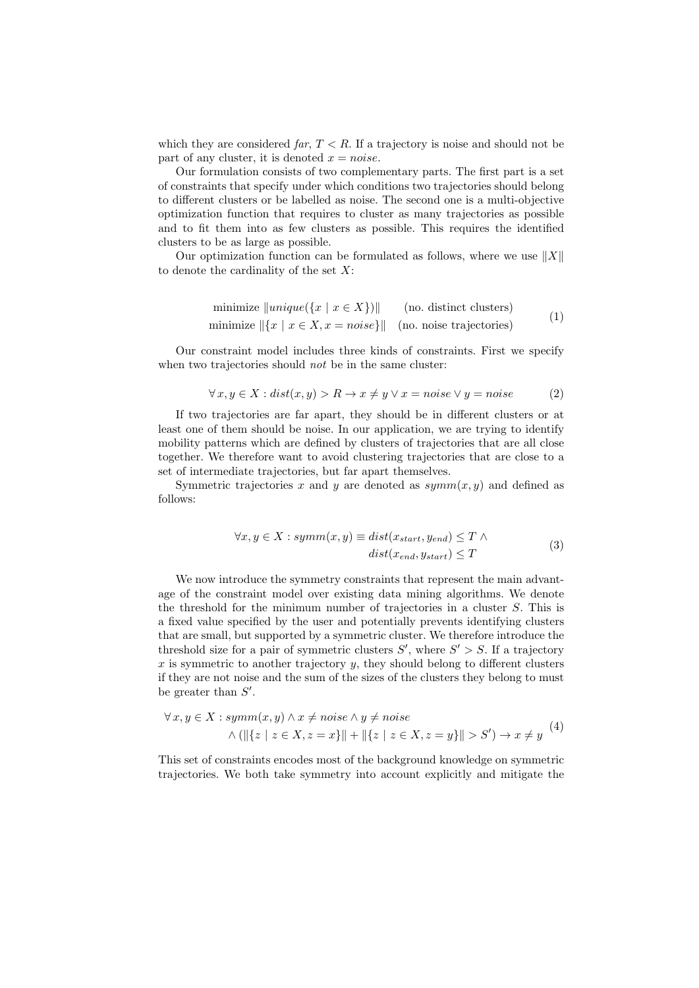which they are considered  $\varphi$ ,  $T < R$ . If a trajectory is noise and should not be part of any cluster, it is denoted  $x = noise$ .

Our formulation consists of two complementary parts. The first part is a set of constraints that specify under which conditions two trajectories should belong to different clusters or be labelled as noise. The second one is a multi-objective optimization function that requires to cluster as many trajectories as possible and to fit them into as few clusters as possible. This requires the identified clusters to be as large as possible.

Our optimization function can be formulated as follows, where we use *∥X∥* to denote the cardinality of the set *X*:

minimize 
$$
||unique({x \mid x \in X})||
$$
 (no. distinct clusters)  
minimize  $||{x \mid x \in X, x = noise}||$  (no. noise trajectories) (1)

Our constraint model includes three kinds of constraints. First we specify when two trajectories should *not* be in the same cluster:

$$
\forall x, y \in X : dist(x, y) > R \to x \neq y \lor x = noise \lor y = noise
$$
 (2)

If two trajectories are far apart, they should be in different clusters or at least one of them should be noise. In our application, we are trying to identify mobility patterns which are defined by clusters of trajectories that are all close together. We therefore want to avoid clustering trajectories that are close to a set of intermediate trajectories, but far apart themselves.

Symmetric trajectories *x* and *y* are denoted as  $symm(x, y)$  and defined as follows:

$$
\forall x, y \in X : symm(x, y) \equiv dist(x_{start}, y_{end}) \leq T \land
$$
  

$$
dist(x_{end}, y_{start}) \leq T
$$
 (3)

We now introduce the symmetry constraints that represent the main advantage of the constraint model over existing data mining algorithms. We denote the threshold for the minimum number of trajectories in a cluster *S*. This is a fixed value specified by the user and potentially prevents identifying clusters that are small, but supported by a symmetric cluster. We therefore introduce the threshold size for a pair of symmetric clusters  $S'$ , where  $S' > S$ . If a trajectory  $x$  is symmetric to another trajectory  $y$ , they should belong to different clusters if they are not noise and the sum of the sizes of the clusters they belong to must be greater than *S ′* .

$$
\forall x, y \in X : symm(x, y) \land x \neq noise \land y \neq noise
$$
  
 
$$
\land (\|\{z \mid z \in X, z = x\}\| + \|\{z \mid z \in X, z = y\}\| > S') \rightarrow x \neq y
$$
 (4)

This set of constraints encodes most of the background knowledge on symmetric trajectories. We both take symmetry into account explicitly and mitigate the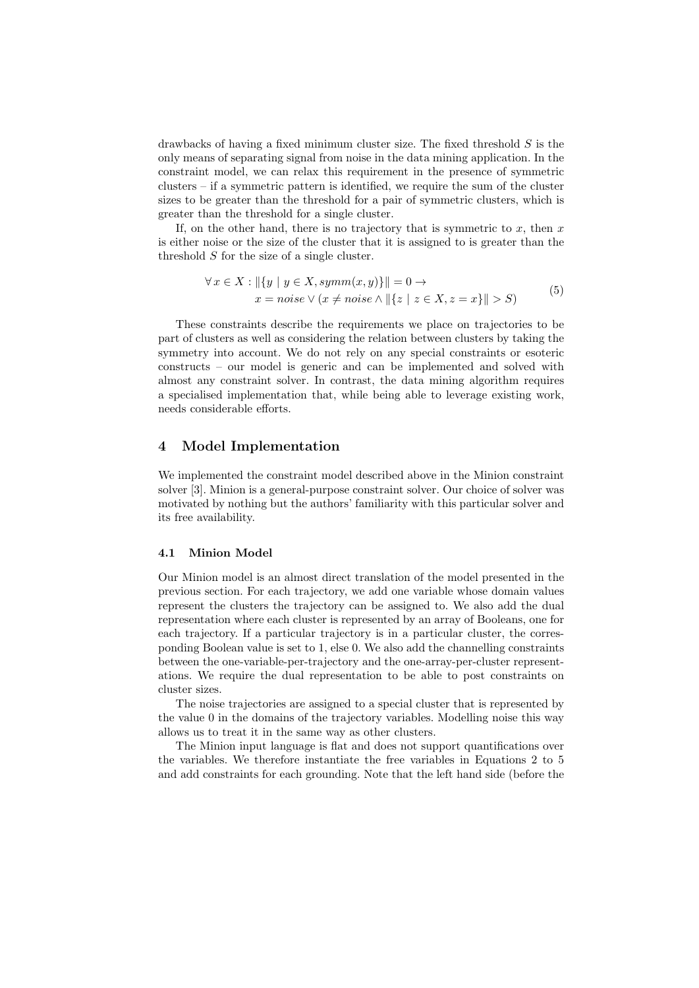drawbacks of having a fixed minimum cluster size. The fixed threshold *S* is the only means of separating signal from noise in the data mining application. In the constraint model, we can relax this requirement in the presence of symmetric clusters – if a symmetric pattern is identified, we require the sum of the cluster sizes to be greater than the threshold for a pair of symmetric clusters, which is greater than the threshold for a single cluster.

If, on the other hand, there is no trajectory that is symmetric to  $x$ , then  $x$ is either noise or the size of the cluster that it is assigned to is greater than the threshold *S* for the size of a single cluster.

$$
\forall x \in X : \|\{y \mid y \in X, \text{symm}(x, y)\}\| = 0 \to
$$
  

$$
x = \text{noise} \lor (x \neq \text{noise} \land \|\{z \mid z \in X, z = x\}\| > S)
$$

$$
(5)
$$

These constraints describe the requirements we place on trajectories to be part of clusters as well as considering the relation between clusters by taking the symmetry into account. We do not rely on any special constraints or esoteric constructs – our model is generic and can be implemented and solved with almost any constraint solver. In contrast, the data mining algorithm requires a specialised implementation that, while being able to leverage existing work, needs considerable efforts.

### **4 Model Implementation**

We implemented the constraint model described above in the Minion constraint solver [3]. Minion is a general-purpose constraint solver. Our choice of solver was motivated by nothing but the authors' familiarity with this particular solver and its free availability.

#### **4.1 Minion Model**

Our Minion model is an almost direct translation of the model presented in the previous section. For each trajectory, we add one variable whose domain values represent the clusters the trajectory can be assigned to. We also add the dual representation where each cluster is represented by an array of Booleans, one for each trajectory. If a particular trajectory is in a particular cluster, the corresponding Boolean value is set to 1, else 0. We also add the channelling constraints between the one-variable-per-trajectory and the one-array-per-cluster representations. We require the dual representation to be able to post constraints on cluster sizes.

The noise trajectories are assigned to a special cluster that is represented by the value 0 in the domains of the trajectory variables. Modelling noise this way allows us to treat it in the same way as other clusters.

The Minion input language is flat and does not support quantifications over the variables. We therefore instantiate the free variables in Equations 2 to 5 and add constraints for each grounding. Note that the left hand side (before the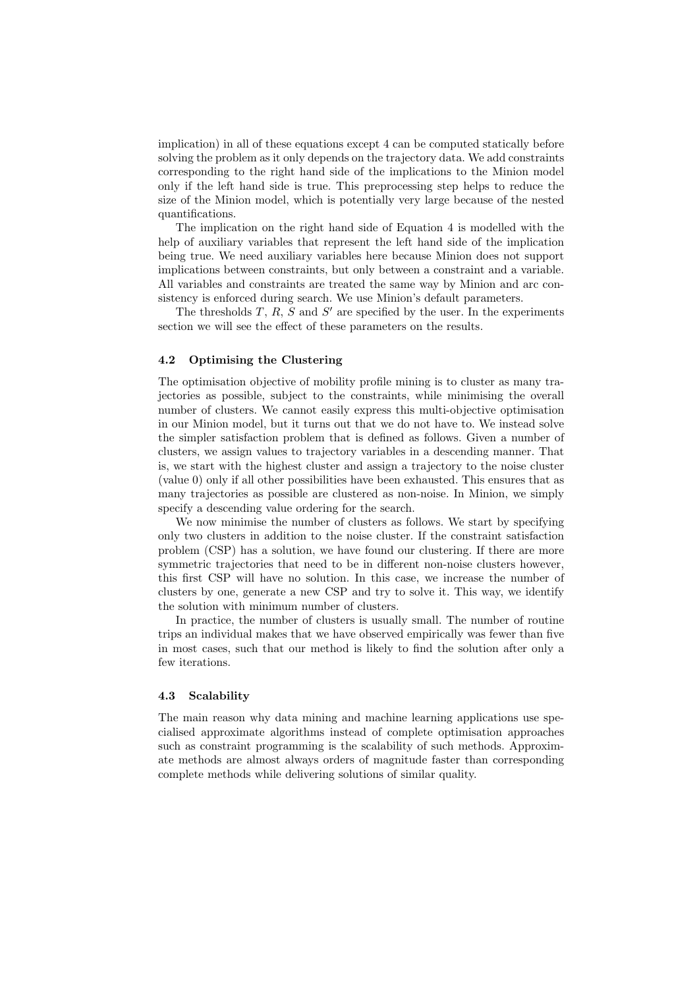implication) in all of these equations except 4 can be computed statically before solving the problem as it only depends on the trajectory data. We add constraints corresponding to the right hand side of the implications to the Minion model only if the left hand side is true. This preprocessing step helps to reduce the size of the Minion model, which is potentially very large because of the nested quantifications.

The implication on the right hand side of Equation 4 is modelled with the help of auxiliary variables that represent the left hand side of the implication being true. We need auxiliary variables here because Minion does not support implications between constraints, but only between a constraint and a variable. All variables and constraints are treated the same way by Minion and arc consistency is enforced during search. We use Minion's default parameters.

The thresholds *T*, *R*, *S* and *S ′* are specified by the user. In the experiments section we will see the effect of these parameters on the results.

#### **4.2 Optimising the Clustering**

The optimisation objective of mobility profile mining is to cluster as many trajectories as possible, subject to the constraints, while minimising the overall number of clusters. We cannot easily express this multi-objective optimisation in our Minion model, but it turns out that we do not have to. We instead solve the simpler satisfaction problem that is defined as follows. Given a number of clusters, we assign values to trajectory variables in a descending manner. That is, we start with the highest cluster and assign a trajectory to the noise cluster (value 0) only if all other possibilities have been exhausted. This ensures that as many trajectories as possible are clustered as non-noise. In Minion, we simply specify a descending value ordering for the search.

We now minimise the number of clusters as follows. We start by specifying only two clusters in addition to the noise cluster. If the constraint satisfaction problem (CSP) has a solution, we have found our clustering. If there are more symmetric trajectories that need to be in different non-noise clusters however, this first CSP will have no solution. In this case, we increase the number of clusters by one, generate a new CSP and try to solve it. This way, we identify the solution with minimum number of clusters.

In practice, the number of clusters is usually small. The number of routine trips an individual makes that we have observed empirically was fewer than five in most cases, such that our method is likely to find the solution after only a few iterations.

#### **4.3 Scalability**

The main reason why data mining and machine learning applications use specialised approximate algorithms instead of complete optimisation approaches such as constraint programming is the scalability of such methods. Approximate methods are almost always orders of magnitude faster than corresponding complete methods while delivering solutions of similar quality.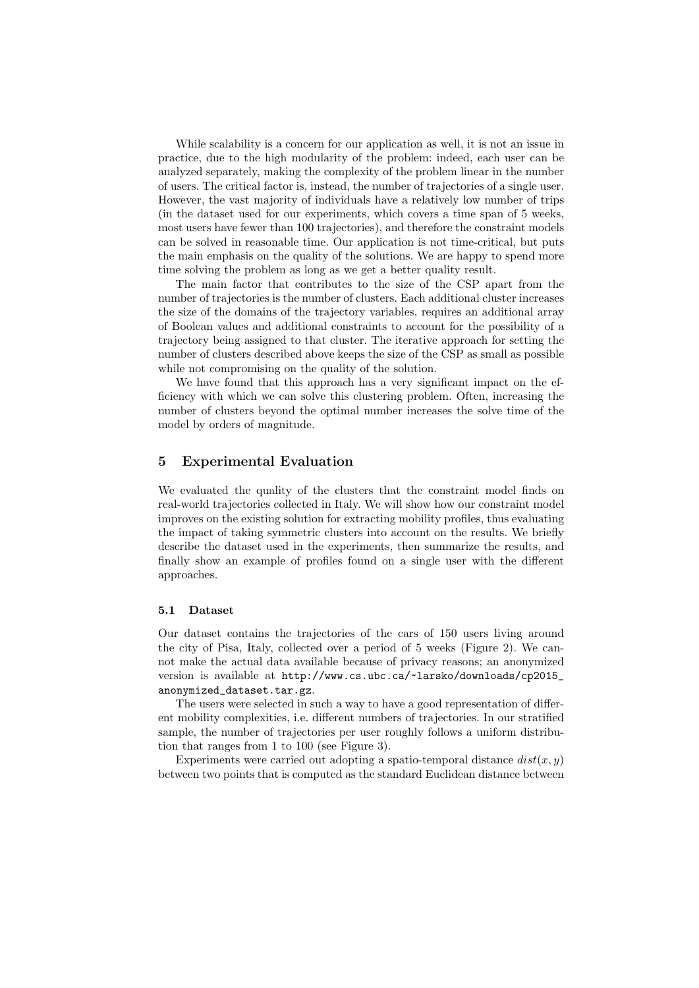While scalability is a concern for our application as well, it is not an issue in practice, due to the high modularity of the problem: indeed, each user can be analyzed separately, making the complexity of the problem linear in the number of users. The critical factor is, instead, the number of trajectories of a single user. However, the vast majority of individuals have a relatively low number of trips (in the dataset used for our experiments, which covers a time span of 5 weeks, most users have fewer than 100 trajectories), and therefore the constraint models can be solved in reasonable time. Our application is not time-critical, but puts the main emphasis on the quality of the solutions. We are happy to spend more time solving the problem as long as we get a better quality result.

The main factor that contributes to the size of the CSP apart from the number of trajectories is the number of clusters. Each additional cluster increases the size of the domains of the trajectory variables, requires an additional array of Boolean values and additional constraints to account for the possibility of a trajectory being assigned to that cluster. The iterative approach for setting the number of clusters described above keeps the size of the CSP as small as possible while not compromising on the quality of the solution.

We have found that this approach has a very significant impact on the efficiency with which we can solve this clustering problem. Often, increasing the number of clusters beyond the optimal number increases the solve time of the model by orders of magnitude.

## **5 Experimental Evaluation**

We evaluated the quality of the clusters that the constraint model finds on real-world trajectories collected in Italy. We will show how our constraint model improves on the existing solution for extracting mobility profiles, thus evaluating the impact of taking symmetric clusters into account on the results. We briefly describe the dataset used in the experiments, then summarize the results, and finally show an example of profiles found on a single user with the different approaches.

#### **5.1 Dataset**

Our dataset contains the trajectories of the cars of 150 users living around the city of Pisa, Italy, collected over a period of 5 weeks (Figure 2). We cannot make the actual data available because of privacy reasons; an anonymized version is available at http://www.cs.ubc.ca/~larsko/downloads/cp2015\_ anonymized\_dataset.tar.gz.

The users were selected in such a way to have a good representation of different mobility complexities, i.e. different numbers of trajectories. In our stratified sample, the number of trajectories per user roughly follows a uniform distribution that ranges from 1 to 100 (see Figure 3).

Experiments were carried out adopting a spatio-temporal distance  $dist(x, y)$ between two points that is computed as the standard Euclidean distance between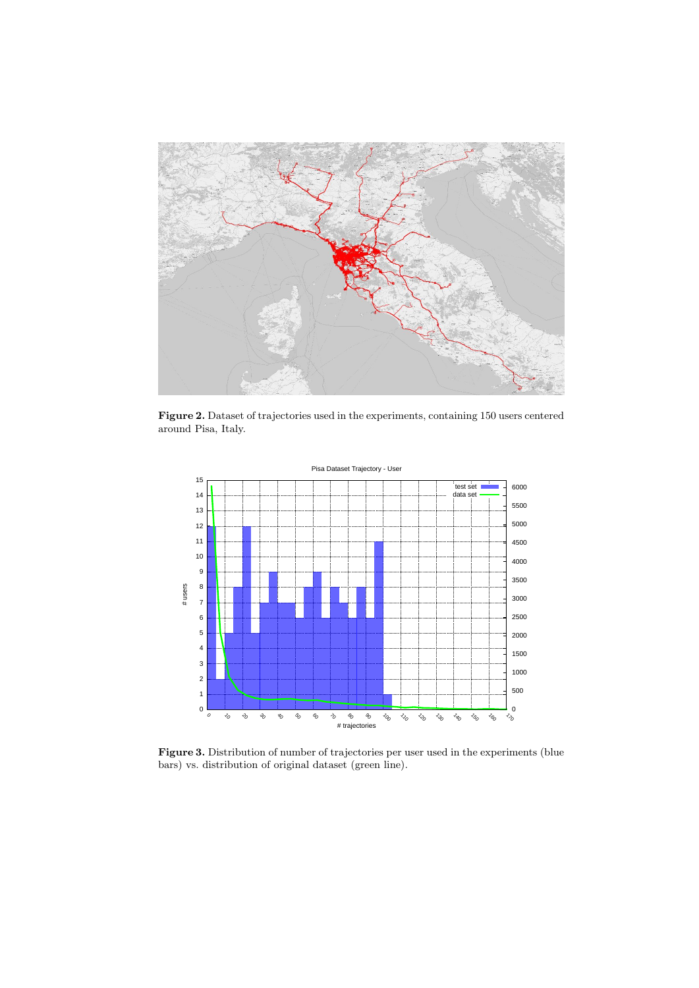

**Figure 2.** Dataset of trajectories used in the experiments, containing 150 users centered around Pisa, Italy.



**Figure 3.** Distribution of number of trajectories per user used in the experiments (blue bars) vs. distribution of original dataset (green line).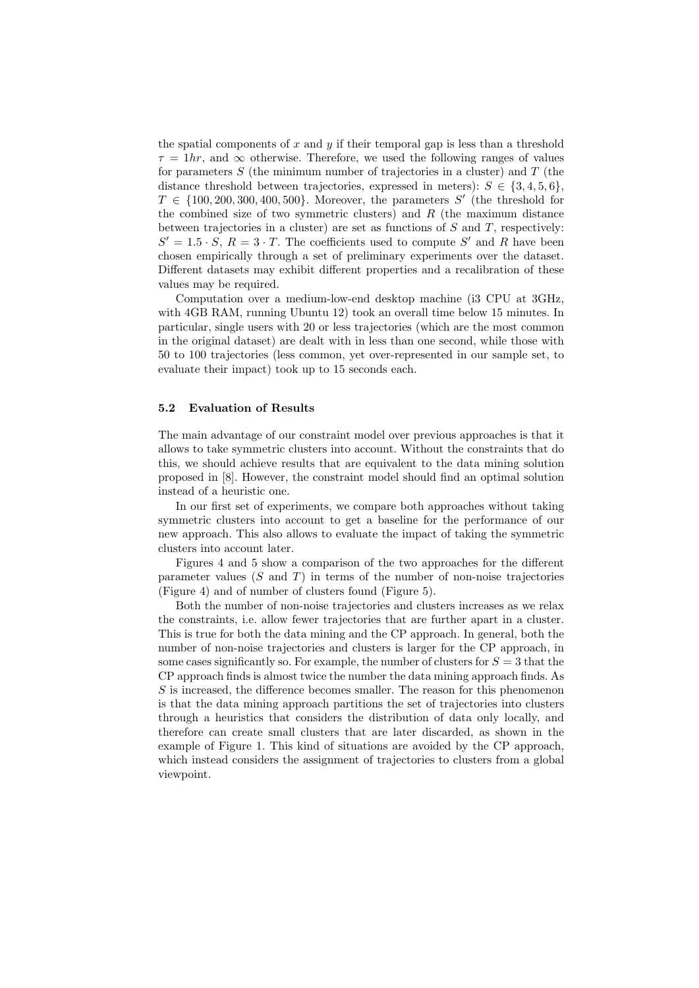the spatial components of  $x$  and  $y$  if their temporal gap is less than a threshold  $\tau = 1$ *hr*, and  $\infty$  otherwise. Therefore, we used the following ranges of values for parameters *S* (the minimum number of trajectories in a cluster) and *T* (the distance threshold between trajectories, expressed in meters):  $S \in \{3, 4, 5, 6\}$ ,  $T \in \{100, 200, 300, 400, 500\}$ . Moreover, the parameters  $S'$  (the threshold for the combined size of two symmetric clusters) and *R* (the maximum distance between trajectories in a cluster) are set as functions of *S* and *T*, respectively:  $S' = 1.5 \cdot S$ ,  $R = 3 \cdot T$ . The coefficients used to compute  $S'$  and R have been chosen empirically through a set of preliminary experiments over the dataset. Different datasets may exhibit different properties and a recalibration of these values may be required.

Computation over a medium-low-end desktop machine (i3 CPU at 3GHz, with 4GB RAM, running Ubuntu 12) took an overall time below 15 minutes. In particular, single users with 20 or less trajectories (which are the most common in the original dataset) are dealt with in less than one second, while those with 50 to 100 trajectories (less common, yet over-represented in our sample set, to evaluate their impact) took up to 15 seconds each.

#### **5.2 Evaluation of Results**

The main advantage of our constraint model over previous approaches is that it allows to take symmetric clusters into account. Without the constraints that do this, we should achieve results that are equivalent to the data mining solution proposed in [8]. However, the constraint model should find an optimal solution instead of a heuristic one.

In our first set of experiments, we compare both approaches without taking symmetric clusters into account to get a baseline for the performance of our new approach. This also allows to evaluate the impact of taking the symmetric clusters into account later.

Figures 4 and 5 show a comparison of the two approaches for the different parameter values (*S* and *T*) in terms of the number of non-noise trajectories (Figure 4) and of number of clusters found (Figure 5).

Both the number of non-noise trajectories and clusters increases as we relax the constraints, i.e. allow fewer trajectories that are further apart in a cluster. This is true for both the data mining and the CP approach. In general, both the number of non-noise trajectories and clusters is larger for the CP approach, in some cases significantly so. For example, the number of clusters for  $S = 3$  that the CP approach finds is almost twice the number the data mining approach finds. As *S* is increased, the difference becomes smaller. The reason for this phenomenon is that the data mining approach partitions the set of trajectories into clusters through a heuristics that considers the distribution of data only locally, and therefore can create small clusters that are later discarded, as shown in the example of Figure 1. This kind of situations are avoided by the CP approach, which instead considers the assignment of trajectories to clusters from a global viewpoint.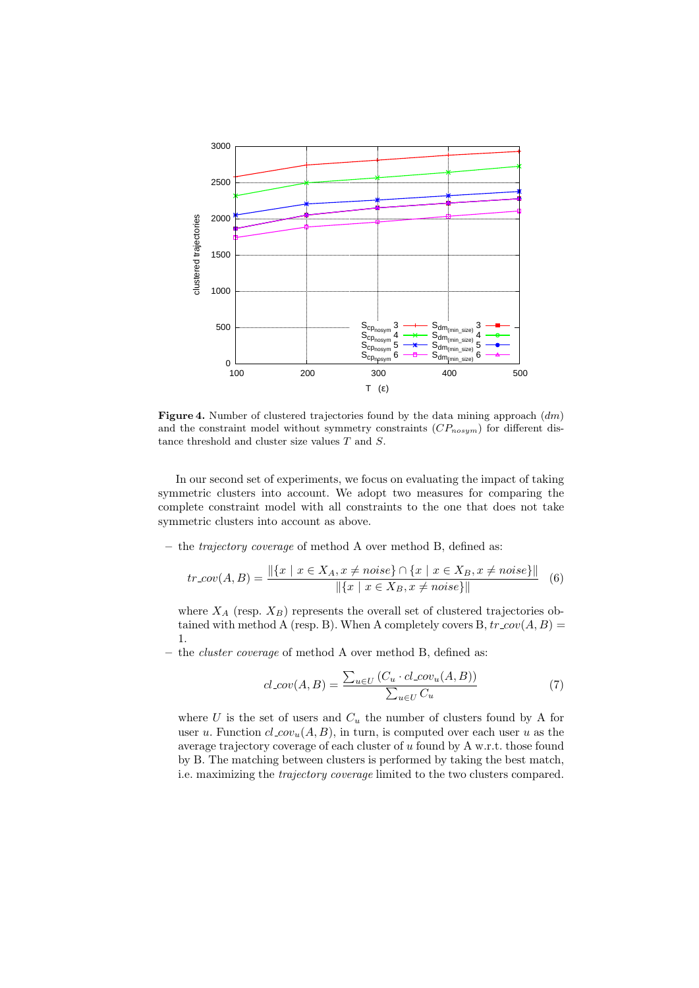

**Figure 4.** Number of clustered trajectories found by the data mining approach (*dm*) and the constraint model without symmetry constraints (*CPnosym*) for different distance threshold and cluster size values *T* and *S*.

In our second set of experiments, we focus on evaluating the impact of taking symmetric clusters into account. We adopt two measures for comparing the complete constraint model with all constraints to the one that does not take symmetric clusters into account as above.

**–** the *trajectory coverage* of method A over method B, defined as:

$$
tr\_cov(A, B) = \frac{\|\{x \mid x \in X_A, x \neq noise\} \cap \{x \mid x \in X_B, x \neq noise\}\|}{\|\{x \mid x \in X_B, x \neq noise\}\|} \tag{6}
$$

where  $X_A$  (resp.  $X_B$ ) represents the overall set of clustered trajectories obtained with method A (resp. B). When A completely covers B,  $tr\_cov(A, B)$  = 1.

**–** the *cluster coverage* of method A over method B, defined as:

$$
cl.cov(A, B) = \frac{\sum_{u \in U} (C_u \cdot cl\_cov_u(A, B))}{\sum_{u \in U} C_u} \tag{7}
$$

where  $U$  is the set of users and  $C_u$  the number of clusters found by A for user *u*. Function  $cl_{\mathcal{L}ov_u}(A, B)$ , in turn, is computed over each user *u* as the average trajectory coverage of each cluster of *u* found by A w.r.t. those found by B. The matching between clusters is performed by taking the best match, i.e. maximizing the *trajectory coverage* limited to the two clusters compared.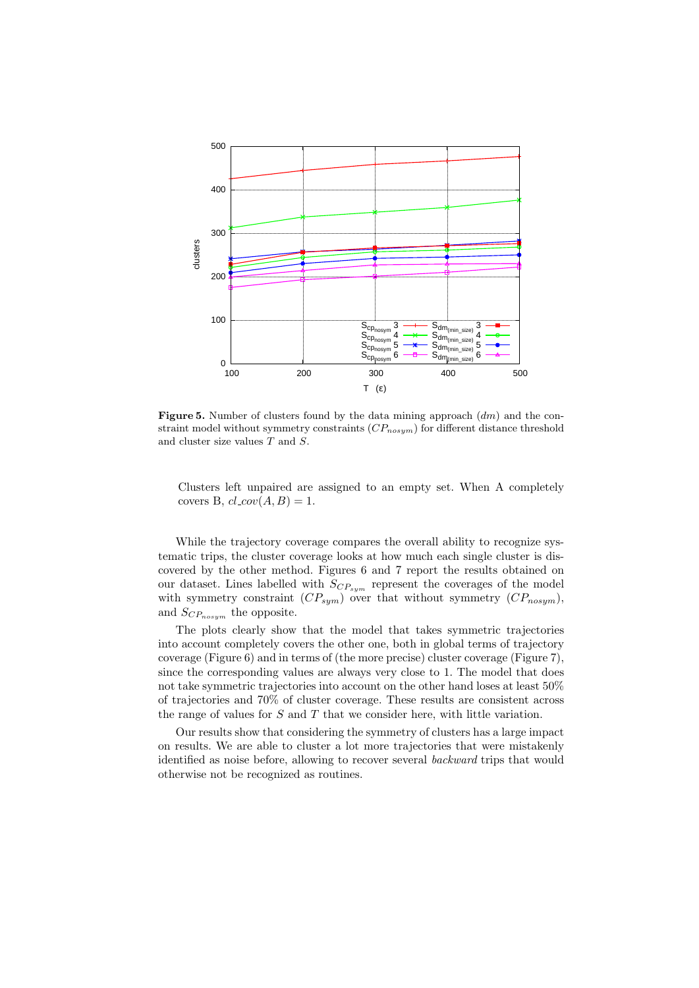

**Figure 5.** Number of clusters found by the data mining approach (*dm*) and the constraint model without symmetry constraints (*CPnosym*) for different distance threshold and cluster size values *T* and *S*.

Clusters left unpaired are assigned to an empty set. When A completely covers B,  $cl_{cov}(A, B) = 1$ .

While the trajectory coverage compares the overall ability to recognize systematic trips, the cluster coverage looks at how much each single cluster is discovered by the other method. Figures 6 and 7 report the results obtained on our dataset. Lines labelled with *SCPsym* represent the coverages of the model with symmetry constraint (*CPsym*) over that without symmetry (*CPnosym*), and *SCPnosym* the opposite.

The plots clearly show that the model that takes symmetric trajectories into account completely covers the other one, both in global terms of trajectory coverage (Figure 6) and in terms of (the more precise) cluster coverage (Figure 7), since the corresponding values are always very close to 1. The model that does not take symmetric trajectories into account on the other hand loses at least 50% of trajectories and 70% of cluster coverage. These results are consistent across the range of values for *S* and *T* that we consider here, with little variation.

Our results show that considering the symmetry of clusters has a large impact on results. We are able to cluster a lot more trajectories that were mistakenly identified as noise before, allowing to recover several *backward* trips that would otherwise not be recognized as routines.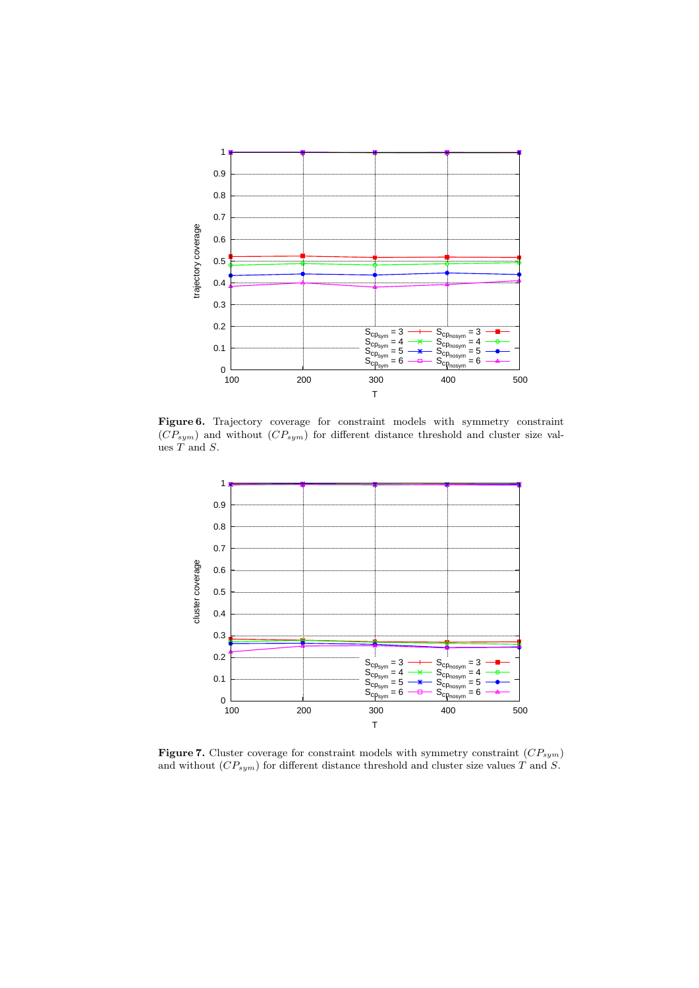

**Figure 6.** Trajectory coverage for constraint models with symmetry constraint (*CPsym*) and without (*CPsym*) for different distance threshold and cluster size values *T* and *S*.



**Figure 7.** Cluster coverage for constraint models with symmetry constraint (*CPsym*) and without  $(CP_{sym})$  for different distance threshold and cluster size values  $\hat{T}$  and  $\hat{S}$ .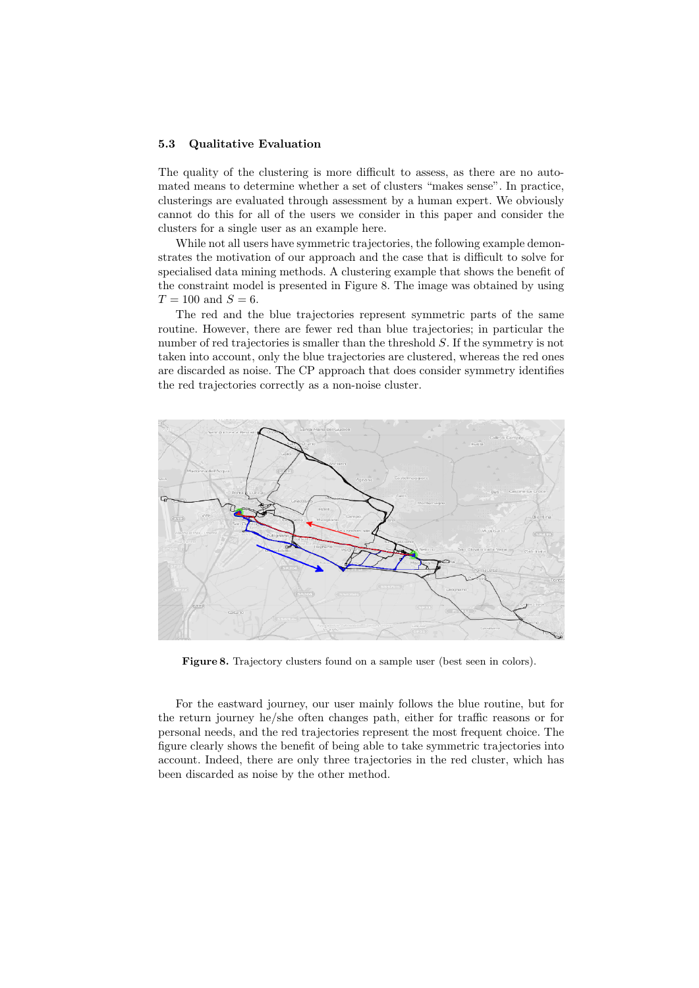#### **5.3 Qualitative Evaluation**

The quality of the clustering is more difficult to assess, as there are no automated means to determine whether a set of clusters "makes sense". In practice, clusterings are evaluated through assessment by a human expert. We obviously cannot do this for all of the users we consider in this paper and consider the clusters for a single user as an example here.

While not all users have symmetric trajectories, the following example demonstrates the motivation of our approach and the case that is difficult to solve for specialised data mining methods. A clustering example that shows the benefit of the constraint model is presented in Figure 8. The image was obtained by using  $T = 100$  and  $S = 6$ .

The red and the blue trajectories represent symmetric parts of the same routine. However, there are fewer red than blue trajectories; in particular the number of red trajectories is smaller than the threshold *S*. If the symmetry is not taken into account, only the blue trajectories are clustered, whereas the red ones are discarded as noise. The CP approach that does consider symmetry identifies the red trajectories correctly as a non-noise cluster.



Figure 8. Trajectory clusters found on a sample user (best seen in colors).

For the eastward journey, our user mainly follows the blue routine, but for the return journey he/she often changes path, either for traffic reasons or for personal needs, and the red trajectories represent the most frequent choice. The figure clearly shows the benefit of being able to take symmetric trajectories into account. Indeed, there are only three trajectories in the red cluster, which has been discarded as noise by the other method.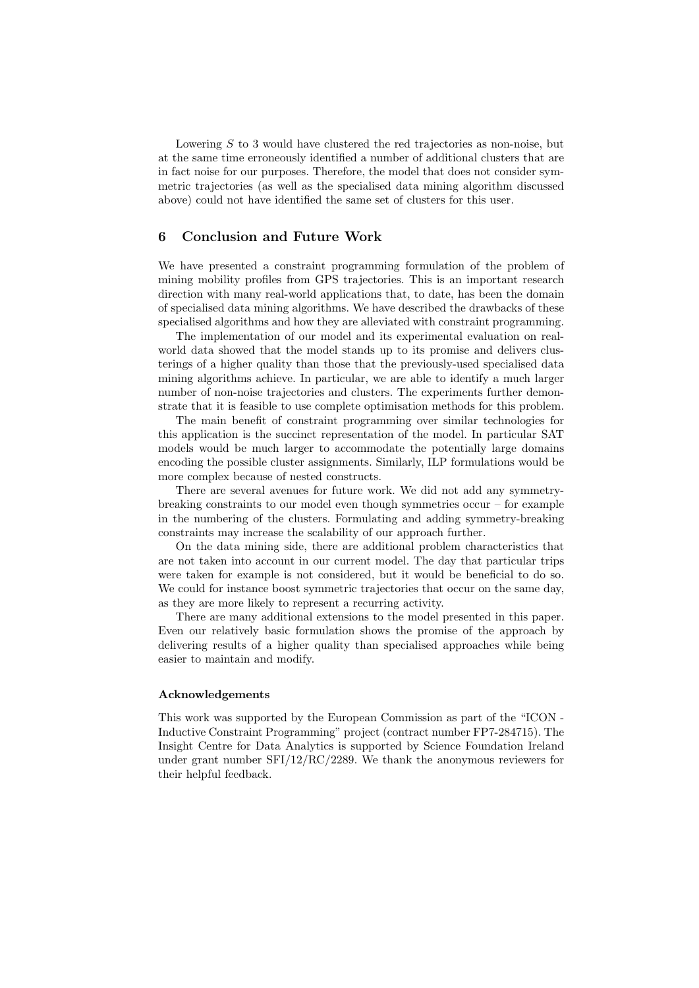Lowering *S* to 3 would have clustered the red trajectories as non-noise, but at the same time erroneously identified a number of additional clusters that are in fact noise for our purposes. Therefore, the model that does not consider symmetric trajectories (as well as the specialised data mining algorithm discussed above) could not have identified the same set of clusters for this user.

### **6 Conclusion and Future Work**

We have presented a constraint programming formulation of the problem of mining mobility profiles from GPS trajectories. This is an important research direction with many real-world applications that, to date, has been the domain of specialised data mining algorithms. We have described the drawbacks of these specialised algorithms and how they are alleviated with constraint programming.

The implementation of our model and its experimental evaluation on realworld data showed that the model stands up to its promise and delivers clusterings of a higher quality than those that the previously-used specialised data mining algorithms achieve. In particular, we are able to identify a much larger number of non-noise trajectories and clusters. The experiments further demonstrate that it is feasible to use complete optimisation methods for this problem.

The main benefit of constraint programming over similar technologies for this application is the succinct representation of the model. In particular SAT models would be much larger to accommodate the potentially large domains encoding the possible cluster assignments. Similarly, ILP formulations would be more complex because of nested constructs.

There are several avenues for future work. We did not add any symmetrybreaking constraints to our model even though symmetries occur – for example in the numbering of the clusters. Formulating and adding symmetry-breaking constraints may increase the scalability of our approach further.

On the data mining side, there are additional problem characteristics that are not taken into account in our current model. The day that particular trips were taken for example is not considered, but it would be beneficial to do so. We could for instance boost symmetric trajectories that occur on the same day, as they are more likely to represent a recurring activity.

There are many additional extensions to the model presented in this paper. Even our relatively basic formulation shows the promise of the approach by delivering results of a higher quality than specialised approaches while being easier to maintain and modify.

#### **Acknowledgements**

This work was supported by the European Commission as part of the "ICON - Inductive Constraint Programming" project (contract number FP7-284715). The Insight Centre for Data Analytics is supported by Science Foundation Ireland under grant number SFI/12/RC/2289. We thank the anonymous reviewers for their helpful feedback.